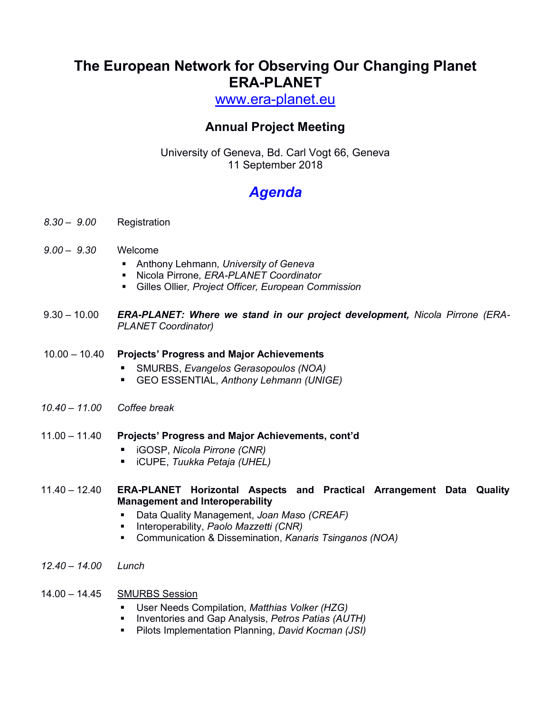## **The European Network for Observing Our Changing Planet ERA-PLANET**

www.era-planet.eu

### **Annual Project Meeting**

University of Geneva, Bd. Carl Vogt 66, Geneva 11 September 2018

# *Agenda*

- *8.30 9.00* Registration
- *9.00 9.30* Welcome
	- § Anthony Lehmann*, University of Geneva*
	- § Nicola Pirrone*, ERA-PLANET Coordinator*
	- § Gilles Ollier*, Project Officer, European Commission*
- 9.30 10.00 *ERA-PLANET: Where we stand in our project development, Nicola Pirrone (ERA-PLANET Coordinator)*

#### 10.00 – 10.40 **Projects' Progress and Major Achievements**

- § SMURBS, *Evangelos Gerasopoulos (NOA)*
- § GEO ESSENTIAL, *Anthony Lehmann (UNIGE)*
- *10.40 – 11.00 Coffee break*
- 11.00 11.40 **Projects' Progress and Major Achievements, cont'd**
	- § iGOSP, *Nicola Pirrone (CNR)*
	- § iCUPE, *Tuukka Petaja (UHEL)*

#### 11.40 – 12.40 **ERA-PLANET Horizontal Aspects and Practical Arrangement Data Quality Management and Interoperability**

- § Data Quality Management, *Joan Mas*o *(CREAF)*
- § Interoperability, *Paolo Mazzetti (CNR)*
- § Communication & Dissemination, *Kanaris Tsinganos (NOA)*
- *12.40 – 14.00 Lunch*

#### 14.00 - 14.45 SMURBS Session

- § User Needs Compilation, *Matthias Volker (HZG)*
- § Inventories and Gap Analysis, *Petros Patias (AUTH)*
- § Pilots Implementation Planning, *David Kocman (JSI)*